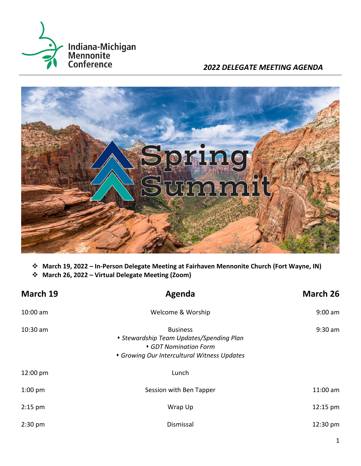

*2022 DELEGATE MEETING AGENDA*



❖ **March 19, 2022 – In-Person Delegate Meeting at Fairhaven Mennonite Church (Fort Wayne, IN)**

❖ **March 26, 2022 – Virtual Delegate Meeting (Zoom)**

| March 19   | Agenda<br>Welcome & Worship                                                                                                         |                    |
|------------|-------------------------------------------------------------------------------------------------------------------------------------|--------------------|
| $10:00$ am |                                                                                                                                     |                    |
| $10:30$ am | <b>Business</b><br>• Stewardship Team Updates/Spending Plan<br>• GDT Nomination Form<br>• Growing Our Intercultural Witness Updates | $9:30$ am          |
| 12:00 pm   | Lunch                                                                                                                               |                    |
| $1:00$ pm  | Session with Ben Tapper                                                                                                             | 11:00 am           |
| $2:15$ pm  | Wrap Up                                                                                                                             | $12:15$ pm         |
| $2:30$ pm  | Dismissal                                                                                                                           | $12:30 \text{ pm}$ |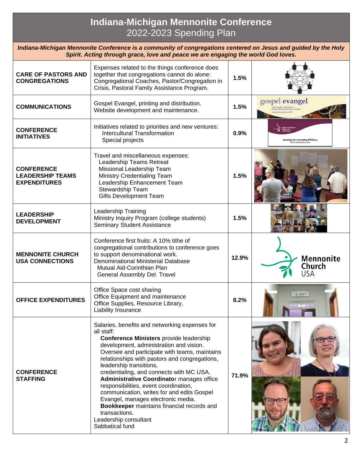# **Indiana-Michigan Mennonite Conference** 2022-2023 Spending Plan

*Indiana-Michigan Mennonite Conference is a community of congregations centered on Jesus and guided by the Holy Spirit. Acting through grace, love and peace we are engaging the world God loves.*

| <b>CARE OF PASTORS AND</b><br><b>CONGREGATIONS</b>                  | Expenses related to the things conference does<br>together that congregations cannot do alone:<br>Congregational Coaches, Pastor/Congregation in<br>Crisis, Pastoral Family Assistance Program.                                                                                                                                                                                                                                                                                                                                                                                                                                | 1.5%  |                                                                  |
|---------------------------------------------------------------------|--------------------------------------------------------------------------------------------------------------------------------------------------------------------------------------------------------------------------------------------------------------------------------------------------------------------------------------------------------------------------------------------------------------------------------------------------------------------------------------------------------------------------------------------------------------------------------------------------------------------------------|-------|------------------------------------------------------------------|
| <b>COMMUNICATIONS</b>                                               | Gospel Evangel, printing and distribution.<br>Website development and maintenance.                                                                                                                                                                                                                                                                                                                                                                                                                                                                                                                                             | 1.5%  | gospel evangel                                                   |
| <b>CONFERENCE</b><br><b>INITIATIVES</b>                             | Initiatives related to priorities and new ventures:<br><b>Intercultural Transformation</b><br>Special projects                                                                                                                                                                                                                                                                                                                                                                                                                                                                                                                 | 0.9%  | <b>Growing Our Intercultural Witnes:</b><br>onal Leadership Team |
| <b>CONFERENCE</b><br><b>LEADERSHIP TEAMS</b><br><b>EXPENDITURES</b> | Travel and miscellaneous expenses:<br>Leadership Teams Retreat<br>Missional Leadership Team<br><b>Ministry Credentialing Team</b><br>Leadership Enhancement Team<br>Stewardship Team<br><b>Gifts Development Team</b>                                                                                                                                                                                                                                                                                                                                                                                                          | 1.5%  |                                                                  |
| <b>LEADERSHIP</b><br><b>DEVELOPMENT</b>                             | Leadership Training<br>Ministry Inquiry Program (college students)<br><b>Seminary Student Assistance</b>                                                                                                                                                                                                                                                                                                                                                                                                                                                                                                                       | 1.5%  |                                                                  |
| <b>MENNONITE CHURCH</b><br><b>USA CONNECTIONS</b>                   | Conference first fruits: A 10% tithe of<br>congregational contributions to conference goes<br>to support denominational work.<br>Denominational Ministerial Database<br>Mutual Aid-Corinthian Plan<br>General Assembly Del. Travel                                                                                                                                                                                                                                                                                                                                                                                             | 12.9% | <b>Mennonite</b><br>Church<br>USA                                |
| <b>OFFICE EXPENDITURES</b>                                          | Office Space cost sharing<br>Office Equipment and maintenance<br>Office Supplies, Resource Library,<br>Liability Insurance                                                                                                                                                                                                                                                                                                                                                                                                                                                                                                     | 8.2%  | A MORELL                                                         |
| <b>CONFERENCE</b><br><b>STAFFING</b>                                | Salaries, benefits and networking expenses for<br>all staff:<br><b>Conference Ministers provide leadership</b><br>development, administration and vision.<br>Oversee and participate with teams, maintains<br>relationships with pastors and congregations,<br>leadership transitions,<br>credentialing, and connects with MC USA.<br><b>Administrative Coordinator manages office</b><br>responsibilities, event coordination,<br>communication, writes for and edits Gospel<br>Evangel, manages electronic media.<br>Bookkeeper maintains financial records and<br>transactions.<br>Leadership consultant<br>Sabbatical fund | 71.9% |                                                                  |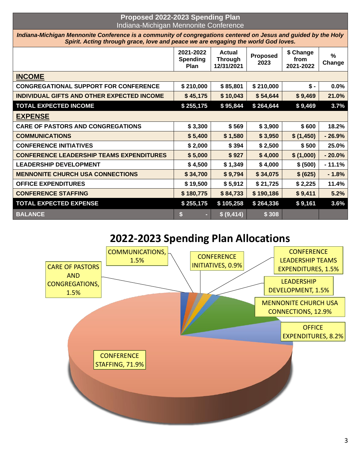## **Proposed 2022-2023 Spending Plan** Indiana-Michigan Mennonite Conference

*Indiana-Michigan Mennonite Conference is a community of congregations centered on Jesus and guided by the Holy Spirit. Acting through grace, love and peace we are engaging the world God loves.*

|                                                 | 2021-2022<br><b>Spending</b><br>Plan | <b>Actual</b><br><b>Through</b><br>12/31/2021 | <b>Proposed</b><br>2023 | \$ Change<br>from<br>2021-2022 | $\frac{9}{6}$<br>Change |
|-------------------------------------------------|--------------------------------------|-----------------------------------------------|-------------------------|--------------------------------|-------------------------|
| <b>INCOME</b>                                   |                                      |                                               |                         |                                |                         |
| <b>CONGREGATIONAL SUPPORT FOR CONFERENCE</b>    | \$210,000                            | \$85,801                                      | \$210,000               | $$ -$                          | 0.0%                    |
| INDIVIDUAL GIFTS AND OTHER EXPECTED INCOME      | \$45,175                             | \$10,043                                      | \$54,644                | \$9,469                        | 21.0%                   |
| <b>TOTAL EXPECTED INCOME</b>                    | \$255,175                            | \$95,844                                      | \$264,644               | \$9,469                        | 3.7%                    |
| <b>EXPENSE</b>                                  |                                      |                                               |                         |                                |                         |
| <b>CARE OF PASTORS AND CONGREGATIONS</b>        | \$3,300                              | \$569                                         | \$3,900                 | \$600                          | 18.2%                   |
| <b>COMMUNICATIONS</b>                           | \$5,400                              | \$1,580                                       | \$3,950                 | \$(1,450)                      | $-26.9%$                |
| <b>CONFERENCE INITIATIVES</b>                   | \$2,000                              | \$394                                         | \$2,500                 | \$500                          | 25.0%                   |
| <b>CONFERENCE LEADERSHIP TEAMS EXPENDITURES</b> | \$5,000                              | \$927                                         | \$4,000                 | \$(1,000)                      | $-20.0%$                |
| <b>LEADERSHIP DEVELOPMENT</b>                   | \$4,500                              | \$1,349                                       | \$4,000                 | \$ (500)                       | $-11.1%$                |
| <b>MENNONITE CHURCH USA CONNECTIONS</b>         | \$34,700                             | \$9,794                                       | \$34,075                | \$ (625)                       | $-1.8%$                 |
| <b>OFFICE EXPENDITURES</b>                      | \$19,500                             | \$5,912                                       | \$21,725                | \$2,225                        | 11.4%                   |
| <b>CONFERENCE STAFFING</b>                      | \$180,775                            | \$84,733                                      | \$190,186               | \$9,411                        | 5.2%                    |
| <b>TOTAL EXPECTED EXPENSE</b>                   | \$255,175                            | \$105,258                                     | \$264,336               | \$9,161                        | 3.6%                    |
| <b>BALANCE</b>                                  | \$<br>н.                             | \$ (9,414)                                    | \$308                   |                                |                         |

# **2022-2023 Spending Plan Allocations**

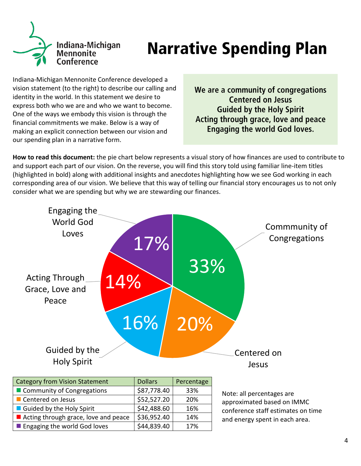

# **Narrative Spending Plan**

Indiana-Michigan Mennonite Conference developed a vision statement (to the right) to describe our calling and identity in the world. In this statement we desire to express both who we are and who we want to become. One of the ways we embody this vision is through the financial commitments we make. Below is a way of making an explicit connection between our vision and our spending plan in a narrative form.

We are a community of congregations **Centered on Jesus Guided by the Holy Spirit** Acting through grace, love and peace **Engaging the world God loves.** 

**How to read this document:** the pie chart below represents a visual story of how finances are used to contribute to and support each part of our vision. On the reverse, you will find this story told using familiar line-item titles (highlighted in bold) along with additional insights and anecdotes highlighting how we see God working in each corresponding area of our vision. We believe that this way of telling our financial story encourages us to not only consider what we are spending but why we are stewarding our finances.

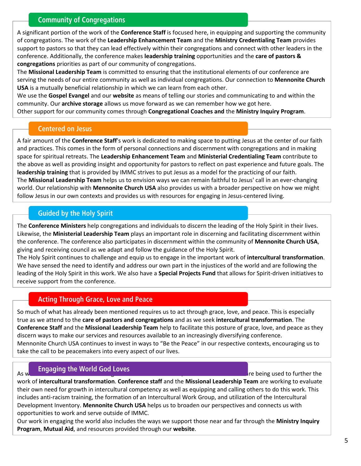## **Community of Congregations**

A significant portion of the work of the **Conference Staff** is focused here, in equipping and supporting the community of congregations. The work of the **Leadership Enhancement Team** and the **Ministry Credentialing Team** provides support to pastors so that they can lead effectively within their congregations and connect with other leaders in the conference. Additionally, the conference makes **leadership training** opportunities and the **care of pastors & congregations** priorities as part of our community of congregations.

The **Missional Leadership Team** is committed to ensuring that the institutional elements of our conference are serving the needs of our entire community as well as individual congregations. Our connection to **Mennonite Church USA** is a mutually beneficial relationship in which we can learn from each other.

We use the **Gospel Evangel** and our **website** as means of telling our stories and communicating to and within the community. Our **archive storage** allows us move forward as we can remember how we got here.

Other support for our community comes through **Congregational Coaches and** the **Ministry Inquiry Program**.

#### **Centered on Jesus**

A fair amount of the **Conference Staff**'s work is dedicated to making space to putting Jesus at the center of our faith and practices. This comes in the form of personal connections and discernment with congregations and in making space for spiritual retreats. The **Leadership Enhancement Team** and **Ministerial Credentialing Team** contribute to the above as well as providing insight and opportunity for pastors to reflect on past experience and future goals. The **leadership training** that is provided by IMMC strives to put Jesus as a model for the practicing of our faith. The **Missional Leadership Team** helps us to envision ways we can remain faithful to Jesus' call in an ever-changing world. Our relationship with **Mennonite Church USA** also provides us with a broader perspective on how we might follow Jesus in our own contexts and provides us with resources for engaging in Jesus-centered living.

## **Guided by the Holy Spirit**

The **Conference Ministers** help congregations and individuals to discern the leading of the Holy Spirit in their lives. Likewise, the **Ministerial Leadership Team** plays an important role in discerning and facilitating discernment within the conference. The conference also participates in discernment within the community of **Mennonite Church USA**, giving and receiving council as we adapt and follow the guidance of the Holy Spirit.

The Holy Spirit continues to challenge and equip us to engage in the important work of **intercultural transformation**. We have sensed the need to identify and address our own part in the injustices of the world and are following the leading of the Holy Spirit in this work. We also have a **Special Projects Fund** that allows for Spirit-driven initiatives to receive support from the conference.

## **Acting Through Grace, Love and Peace**

So much of what has already been mentioned requires us to act through grace, love, and peace. This is especially true as we attend to the **care of pastors and congregations** and as we seek **intercultural transformation**. The **Conference Staff** and the **Missional Leadership Team** help to facilitate this posture of grace, love, and peace as they discern ways to make our services and resources available to an increasingly diversifying conference. Mennonite Church USA continues to invest in ways to "Be the Peace" in our respective contexts, encouraging us to take the call to be peacemakers into every aspect of our lives.

# As we continue to work on the Work of the Work of the Witness of the continue of the conference resources are being used to further the

work of **intercultural transformation**. **Conference staff** and the **Missional Leadership Team** are working to evaluate their own need for growth in intercultural competency as well as equipping and calling others to do this work. This includes anti-racism training, the formation of an Intercultural Work Group, and utilization of the Intercultural Development Inventory. **Mennonite Church USA** helps us to broaden our perspectives and connects us with opportunities to work and serve outside of IMMC.

Our work in engaging the world also includes the ways we support those near and far through the **Ministry Inquiry Program**, **Mutual Aid**, and resources provided through our **website**.